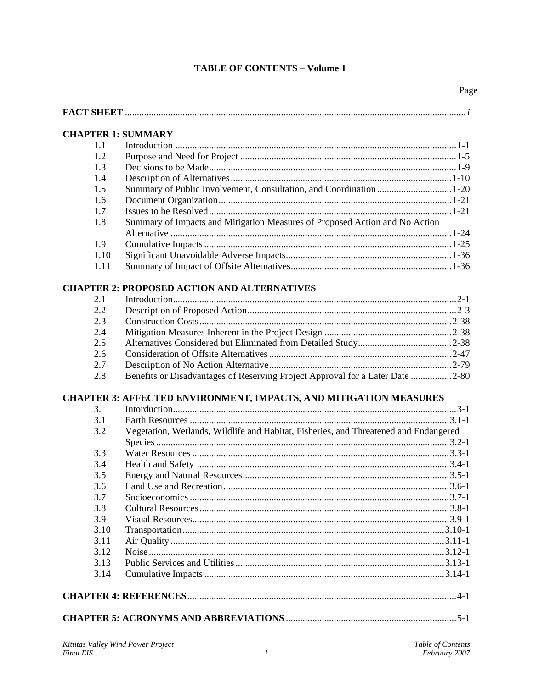# **TABLE OF CONTENTS - Volume 1**

| 1.1<br>1.2<br>1.3<br>1.4<br>1.5<br>1.6<br>1.7<br>Summary of Impacts and Mitigation Measures of Proposed Action and No Action<br>1.8<br>1.9<br>1.10<br>1.11<br>2.1<br>2.2<br>2.3<br>2.4<br>2.5<br>2.6<br>2.7<br>Benefits or Disadvantages of Reserving Project Approval for a Later Date 2-80<br>2.8<br>3.<br>3.1<br>Vegetation, Wetlands, Wildlife and Habitat, Fisheries, and Threatened and Endangered<br>3.2<br>3.3<br>3.4<br>3.5<br>3.6<br>3.7<br>3.8<br>3.9<br>3.10<br>3.11<br>3.12<br>3.13<br>3.14<br>Table of Contents | <b>CHAPTER 1: SUMMARY</b> |  |
|-------------------------------------------------------------------------------------------------------------------------------------------------------------------------------------------------------------------------------------------------------------------------------------------------------------------------------------------------------------------------------------------------------------------------------------------------------------------------------------------------------------------------------|---------------------------|--|
| <b>CHAPTER 2: PROPOSED ACTION AND ALTERNATIVES</b><br><b>CHAPTER 3: AFFECTED ENVIRONMENT, IMPACTS, AND MITIGATION MEASURES</b><br>Kittitas Valley Wind Power Project                                                                                                                                                                                                                                                                                                                                                          |                           |  |
|                                                                                                                                                                                                                                                                                                                                                                                                                                                                                                                               |                           |  |
|                                                                                                                                                                                                                                                                                                                                                                                                                                                                                                                               |                           |  |
|                                                                                                                                                                                                                                                                                                                                                                                                                                                                                                                               |                           |  |
|                                                                                                                                                                                                                                                                                                                                                                                                                                                                                                                               |                           |  |
|                                                                                                                                                                                                                                                                                                                                                                                                                                                                                                                               |                           |  |
|                                                                                                                                                                                                                                                                                                                                                                                                                                                                                                                               |                           |  |
|                                                                                                                                                                                                                                                                                                                                                                                                                                                                                                                               |                           |  |
|                                                                                                                                                                                                                                                                                                                                                                                                                                                                                                                               |                           |  |
|                                                                                                                                                                                                                                                                                                                                                                                                                                                                                                                               |                           |  |
|                                                                                                                                                                                                                                                                                                                                                                                                                                                                                                                               |                           |  |
|                                                                                                                                                                                                                                                                                                                                                                                                                                                                                                                               |                           |  |
|                                                                                                                                                                                                                                                                                                                                                                                                                                                                                                                               |                           |  |
|                                                                                                                                                                                                                                                                                                                                                                                                                                                                                                                               |                           |  |
|                                                                                                                                                                                                                                                                                                                                                                                                                                                                                                                               |                           |  |
|                                                                                                                                                                                                                                                                                                                                                                                                                                                                                                                               |                           |  |
|                                                                                                                                                                                                                                                                                                                                                                                                                                                                                                                               |                           |  |
|                                                                                                                                                                                                                                                                                                                                                                                                                                                                                                                               |                           |  |
|                                                                                                                                                                                                                                                                                                                                                                                                                                                                                                                               |                           |  |
|                                                                                                                                                                                                                                                                                                                                                                                                                                                                                                                               |                           |  |
|                                                                                                                                                                                                                                                                                                                                                                                                                                                                                                                               |                           |  |
|                                                                                                                                                                                                                                                                                                                                                                                                                                                                                                                               |                           |  |
|                                                                                                                                                                                                                                                                                                                                                                                                                                                                                                                               |                           |  |
|                                                                                                                                                                                                                                                                                                                                                                                                                                                                                                                               |                           |  |
|                                                                                                                                                                                                                                                                                                                                                                                                                                                                                                                               |                           |  |
|                                                                                                                                                                                                                                                                                                                                                                                                                                                                                                                               |                           |  |
|                                                                                                                                                                                                                                                                                                                                                                                                                                                                                                                               |                           |  |
|                                                                                                                                                                                                                                                                                                                                                                                                                                                                                                                               |                           |  |
|                                                                                                                                                                                                                                                                                                                                                                                                                                                                                                                               |                           |  |
|                                                                                                                                                                                                                                                                                                                                                                                                                                                                                                                               |                           |  |
|                                                                                                                                                                                                                                                                                                                                                                                                                                                                                                                               |                           |  |
|                                                                                                                                                                                                                                                                                                                                                                                                                                                                                                                               |                           |  |
|                                                                                                                                                                                                                                                                                                                                                                                                                                                                                                                               |                           |  |
|                                                                                                                                                                                                                                                                                                                                                                                                                                                                                                                               |                           |  |
|                                                                                                                                                                                                                                                                                                                                                                                                                                                                                                                               |                           |  |
|                                                                                                                                                                                                                                                                                                                                                                                                                                                                                                                               |                           |  |
|                                                                                                                                                                                                                                                                                                                                                                                                                                                                                                                               |                           |  |
|                                                                                                                                                                                                                                                                                                                                                                                                                                                                                                                               |                           |  |
|                                                                                                                                                                                                                                                                                                                                                                                                                                                                                                                               |                           |  |
|                                                                                                                                                                                                                                                                                                                                                                                                                                                                                                                               |                           |  |
|                                                                                                                                                                                                                                                                                                                                                                                                                                                                                                                               |                           |  |
| <b>Final EIS</b><br>February 2007<br>$\boldsymbol{l}$                                                                                                                                                                                                                                                                                                                                                                                                                                                                         |                           |  |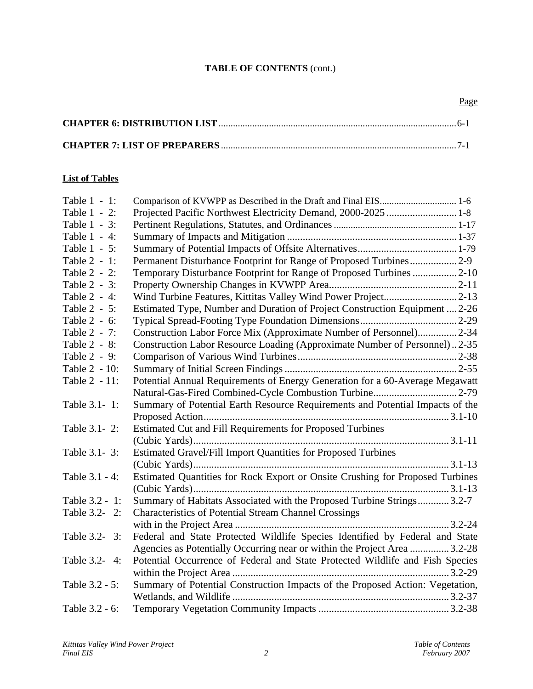# **TABLE OF CONTENTS** (cont.)

#### **List of Tables**

| Table 1 - 1:   |                                                                               |
|----------------|-------------------------------------------------------------------------------|
| Table 1 - 2:   |                                                                               |
| Table 1 - 3:   |                                                                               |
| Table 1 - 4:   |                                                                               |
| Table 1 - 5:   |                                                                               |
| Table 2 - 1:   | Permanent Disturbance Footprint for Range of Proposed Turbines2-9             |
| Table 2 - 2:   | Temporary Disturbance Footprint for Range of Proposed Turbines  2-10          |
| Table 2 - 3:   |                                                                               |
| Table 2 - 4:   | Wind Turbine Features, Kittitas Valley Wind Power Project2-13                 |
| Table 2 - 5:   | Estimated Type, Number and Duration of Project Construction Equipment  2-26   |
| Table 2 - 6:   |                                                                               |
| Table 2 - 7:   | Construction Labor Force Mix (Approximate Number of Personnel)2-34            |
| Table 2 - 8:   | Construction Labor Resource Loading (Approximate Number of Personnel)2-35     |
| Table 2 - 9:   |                                                                               |
| Table 2 - 10:  |                                                                               |
| Table 2 - 11:  | Potential Annual Requirements of Energy Generation for a 60-Average Megawatt  |
|                | Natural-Gas-Fired Combined-Cycle Combustion Turbine 2-79                      |
| Table 3.1- 1:  | Summary of Potential Earth Resource Requirements and Potential Impacts of the |
|                |                                                                               |
| Table 3.1- 2:  | Estimated Cut and Fill Requirements for Proposed Turbines                     |
|                |                                                                               |
| Table 3.1 - 3: | Estimated Gravel/Fill Import Quantities for Proposed Turbines                 |
|                |                                                                               |
| Table 3.1 - 4: | Estimated Quantities for Rock Export or Onsite Crushing for Proposed Turbines |
|                |                                                                               |
| Table 3.2 - 1: | Summary of Habitats Associated with the Proposed Turbine Strings3.2-7         |
| Table 3.2-2:   | <b>Characteristics of Potential Stream Channel Crossings</b>                  |
|                |                                                                               |
| Table 3.2- 3:  | Federal and State Protected Wildlife Species Identified by Federal and State  |
|                | Agencies as Potentially Occurring near or within the Project Area  3.2-28     |
| Table 3.2- 4:  | Potential Occurrence of Federal and State Protected Wildlife and Fish Species |
|                |                                                                               |
| Table 3.2 - 5: | Summary of Potential Construction Impacts of the Proposed Action: Vegetation, |
|                |                                                                               |
| Table 3.2 - 6: |                                                                               |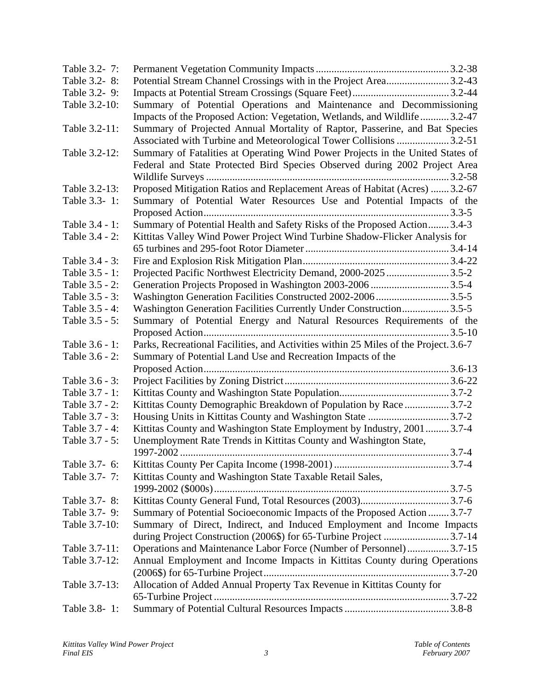| Table 3.2-7:   |                                                                                      |  |
|----------------|--------------------------------------------------------------------------------------|--|
| Table 3.2-8:   | Potential Stream Channel Crossings with in the Project Area3.2-43                    |  |
| Table 3.2-9:   |                                                                                      |  |
| Table 3.2-10:  | Summary of Potential Operations and Maintenance and Decommissioning                  |  |
|                | Impacts of the Proposed Action: Vegetation, Wetlands, and Wildlife3.2-47             |  |
| Table 3.2-11:  | Summary of Projected Annual Mortality of Raptor, Passerine, and Bat Species          |  |
|                | Associated with Turbine and Meteorological Tower Collisions  3.2-51                  |  |
| Table 3.2-12:  | Summary of Fatalities at Operating Wind Power Projects in the United States of       |  |
|                | Federal and State Protected Bird Species Observed during 2002 Project Area           |  |
|                |                                                                                      |  |
| Table 3.2-13:  | Proposed Mitigation Ratios and Replacement Areas of Habitat (Acres)  3.2-67          |  |
| Table 3.3-1:   | Summary of Potential Water Resources Use and Potential Impacts of the                |  |
|                |                                                                                      |  |
| Table 3.4 - 1: | Summary of Potential Health and Safety Risks of the Proposed Action 3.4-3            |  |
| Table 3.4 - 2: | Kittitas Valley Wind Power Project Wind Turbine Shadow-Flicker Analysis for          |  |
|                |                                                                                      |  |
| Table 3.4 - 3: |                                                                                      |  |
| Table 3.5 - 1: | Projected Pacific Northwest Electricity Demand, 2000-2025 3.5-2                      |  |
| Table 3.5 - 2: | Generation Projects Proposed in Washington 2003-2006 3.5-4                           |  |
| Table 3.5 - 3: |                                                                                      |  |
| Table 3.5 - 4: | Washington Generation Facilities Currently Under Construction3.5-5                   |  |
| Table 3.5 - 5: | Summary of Potential Energy and Natural Resources Requirements of the                |  |
|                |                                                                                      |  |
| Table 3.6 - 1: | Parks, Recreational Facilities, and Activities within 25 Miles of the Project. 3.6-7 |  |
| Table 3.6 - 2: | Summary of Potential Land Use and Recreation Impacts of the                          |  |
|                |                                                                                      |  |
| Table 3.6 - 3: |                                                                                      |  |
| Table 3.7 - 1: |                                                                                      |  |
| Table 3.7 - 2: | Kittitas County Demographic Breakdown of Population by Race3.7-2                     |  |
| Table 3.7 - 3: |                                                                                      |  |
| Table 3.7 - 4: | Kittitas County and Washington State Employment by Industry, 2001  3.7-4             |  |
| Table 3.7 - 5: | Unemployment Rate Trends in Kittitas County and Washington State,                    |  |
|                |                                                                                      |  |
| Table 3.7- 6:  |                                                                                      |  |
| Table 3.7-7:   |                                                                                      |  |
|                | Kittitas County and Washington State Taxable Retail Sales,                           |  |
| Table 3.7- 8:  |                                                                                      |  |
| Table 3.7-9:   | Summary of Potential Socioeconomic Impacts of the Proposed Action  3.7-7             |  |
| Table 3.7-10:  |                                                                                      |  |
|                | Summary of Direct, Indirect, and Induced Employment and Income Impacts               |  |
|                | during Project Construction (2006\$) for 65-Turbine Project 3.7-14                   |  |
| Table 3.7-11:  | Operations and Maintenance Labor Force (Number of Personnel)3.7-15                   |  |
| Table 3.7-12:  | Annual Employment and Income Impacts in Kittitas County during Operations            |  |
|                |                                                                                      |  |
| Table 3.7-13:  | Allocation of Added Annual Property Tax Revenue in Kittitas County for               |  |
|                |                                                                                      |  |
| Table 3.8-1:   |                                                                                      |  |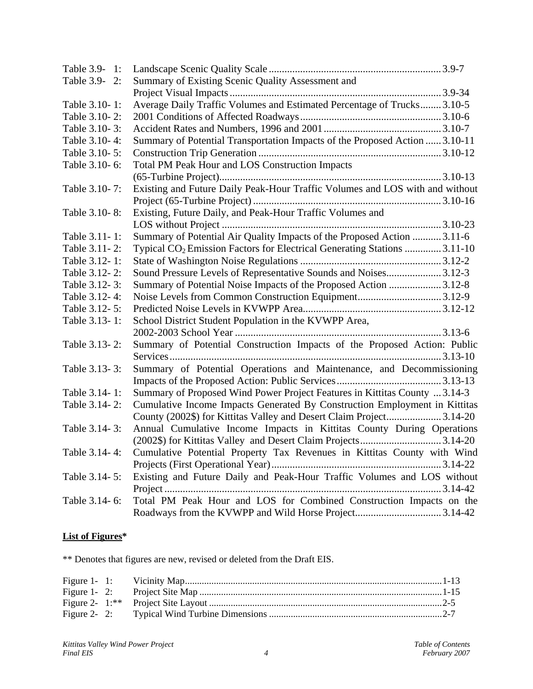| Table 3.9- 1:   |                                                                                       |  |
|-----------------|---------------------------------------------------------------------------------------|--|
| Table 3.9-2:    | Summary of Existing Scenic Quality Assessment and                                     |  |
|                 |                                                                                       |  |
| Table 3.10-1:   | Average Daily Traffic Volumes and Estimated Percentage of Trucks 3.10-5               |  |
| Table 3.10-2:   |                                                                                       |  |
| Table 3.10-3:   |                                                                                       |  |
| Table 3.10-4:   | Summary of Potential Transportation Impacts of the Proposed Action  3.10-11           |  |
| Table 3.10-5:   |                                                                                       |  |
| Table 3.10-6:   | Total PM Peak Hour and LOS Construction Impacts                                       |  |
|                 |                                                                                       |  |
| Table 3.10-7:   | Existing and Future Daily Peak-Hour Traffic Volumes and LOS with and without          |  |
|                 |                                                                                       |  |
| Table 3.10-8:   | Existing, Future Daily, and Peak-Hour Traffic Volumes and                             |  |
|                 |                                                                                       |  |
| Table 3.11-1:   | Summary of Potential Air Quality Impacts of the Proposed Action 3.11-6                |  |
| Table 3.11-2:   | Typical CO <sub>2</sub> Emission Factors for Electrical Generating Stations 3.11-10   |  |
| Table 3.12-1:   |                                                                                       |  |
| Table 3.12-2:   | Sound Pressure Levels of Representative Sounds and Noises3.12-3                       |  |
| Table 3.12-3:   | Summary of Potential Noise Impacts of the Proposed Action 3.12-8                      |  |
| Table 3.12-4:   | Noise Levels from Common Construction Equipment3.12-9                                 |  |
| Table 3.12 - 5: |                                                                                       |  |
| Table 3.13-1:   | School District Student Population in the KVWPP Area,                                 |  |
|                 |                                                                                       |  |
| Table 3.13-2:   | Summary of Potential Construction Impacts of the Proposed Action: Public              |  |
|                 |                                                                                       |  |
| Table 3.13-3:   | Summary of Potential Operations and Maintenance, and Decommissioning                  |  |
|                 |                                                                                       |  |
| Table 3.14-1:   | Summary of Proposed Wind Power Project Features in Kittitas County  3.14-3            |  |
| Table 3.14-2:   | Cumulative Income Impacts Generated By Construction Employment in Kittitas            |  |
|                 | County (2002\$) for Kittitas Valley and Desert Claim Project3.14-20                   |  |
| Table 3.14-3:   | Annual Cumulative Income Impacts in Kittitas County During Operations                 |  |
|                 | (2002\$) for Kittitas Valley and Desert Claim Projects3.14-20                         |  |
|                 | Table 3.14-4: Cumulative Potential Property Tax Revenues in Kittitas County with Wind |  |
|                 |                                                                                       |  |
| Table 3.14 - 5: | Existing and Future Daily and Peak-Hour Traffic Volumes and LOS without               |  |
|                 |                                                                                       |  |
| Table 3.14-6:   | Total PM Peak Hour and LOS for Combined Construction Impacts on the                   |  |
|                 |                                                                                       |  |

## **List of Figures\***

\*\* Denotes that figures are new, revised or deleted from the Draft EIS.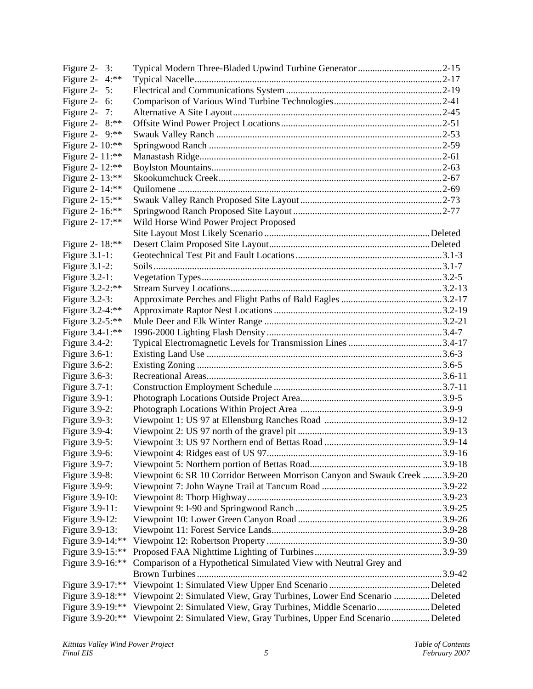| Figure 2- $3:$    |                                                                            |  |
|-------------------|----------------------------------------------------------------------------|--|
| Figure 2- $4:***$ |                                                                            |  |
| Figure 2- $5:$    |                                                                            |  |
| Figure 2- $6:$    |                                                                            |  |
| Figure 2- $7:$    |                                                                            |  |
| Figure 2- $8:***$ |                                                                            |  |
| Figure 2- $9:***$ |                                                                            |  |
| Figure 2- 10:**   |                                                                            |  |
| Figure 2- 11:**   |                                                                            |  |
| Figure 2- 12:**   |                                                                            |  |
| Figure 2- 13:**   |                                                                            |  |
| Figure 2- 14:**   |                                                                            |  |
| Figure 2- 15:**   |                                                                            |  |
| Figure 2- 16:**   |                                                                            |  |
| Figure 2- 17:**   | Wild Horse Wind Power Project Proposed                                     |  |
|                   |                                                                            |  |
| Figure 2- 18:**   |                                                                            |  |
| Figure $3.1-1$ :  |                                                                            |  |
| Figure $3.1-2$ :  |                                                                            |  |
| Figure 3.2-1:     |                                                                            |  |
| Figure 3.2-2:**   |                                                                            |  |
|                   |                                                                            |  |
| Figure $3.2-3$ :  |                                                                            |  |
| Figure 3.2-4:**   |                                                                            |  |
| Figure 3.2-5:**   |                                                                            |  |
| Figure 3.4-1:**   |                                                                            |  |
| Figure $3.4-2$ :  |                                                                            |  |
| Figure 3.6-1:     |                                                                            |  |
| Figure $3.6-2$ :  |                                                                            |  |
| Figure 3.6-3:     |                                                                            |  |
| Figure 3.7-1:     |                                                                            |  |
| Figure $3.9-1$ :  |                                                                            |  |
| Figure 3.9-2:     |                                                                            |  |
| Figure 3.9-3:     |                                                                            |  |
| Figure 3.9-4:     |                                                                            |  |
| Figure $3.9-5$ :  |                                                                            |  |
| Figure 3.9-6:     |                                                                            |  |
| Figure 3.9-7:     |                                                                            |  |
| Figure 3.9-8:     | Viewpoint 6: SR 10 Corridor Between Morrison Canyon and Swauk Creek 3.9-20 |  |
| Figure 3.9-9:     |                                                                            |  |
| Figure 3.9-10:    |                                                                            |  |
| Figure 3.9-11:    |                                                                            |  |
| Figure 3.9-12:    |                                                                            |  |
| Figure 3.9-13:    |                                                                            |  |
| Figure 3.9-14:**  |                                                                            |  |
| Figure 3.9-15:**  |                                                                            |  |
| Figure 3.9-16:**  | Comparison of a Hypothetical Simulated View with Neutral Grey and          |  |
|                   |                                                                            |  |
| Figure 3.9-17:**  |                                                                            |  |
| Figure 3.9-18:**  | Viewpoint 2: Simulated View, Gray Turbines, Lower End Scenario Deleted     |  |
| Figure 3.9-19:**  | Viewpoint 2: Simulated View, Gray Turbines, Middle ScenarioDeleted         |  |
| Figure 3.9-20:**  | Viewpoint 2: Simulated View, Gray Turbines, Upper End ScenarioDeleted      |  |